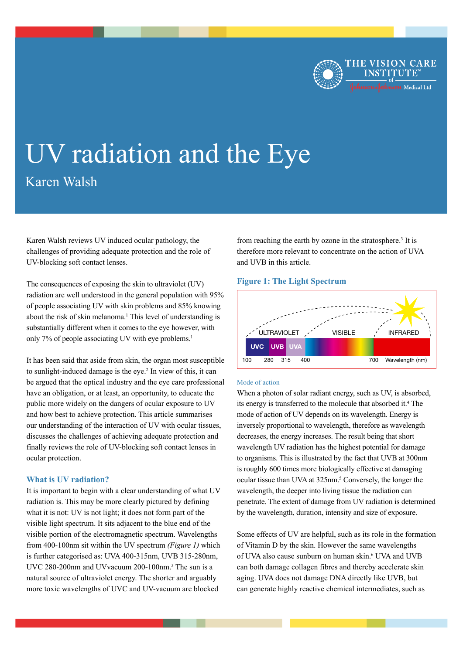

# UV radiation and the Eye Karen Walsh

Karen Walsh reviews UV induced ocular pathology, the challenges of providing adequate protection and the role of UV-blocking soft contact lenses.

The consequences of exposing the skin to ultraviolet (UV) radiation are well understood in the general population with 95% of people associating UV with skin problems and 85% knowing about the risk of skin melanoma.<sup>1</sup> This level of understanding is substantially different when it comes to the eye however, with only 7% of people associating UV with eye problems.<sup>1</sup>

It has been said that aside from skin, the organ most susceptible to sunlight-induced damage is the eye.<sup>2</sup> In view of this, it can be argued that the optical industry and the eye care professional have an obligation, or at least, an opportunity, to educate the public more widely on the dangers of ocular exposure to UV and how best to achieve protection. This article summarises our understanding of the interaction of UV with ocular tissues, discusses the challenges of achieving adequate protection and finally reviews the role of UV-blocking soft contact lenses in ocular protection.

# **What is UV radiation?**

It is important to begin with a clear understanding of what UV radiation is. This may be more clearly pictured by defining what it is not: UV is not light; it does not form part of the visible light spectrum. It sits adjacent to the blue end of the visible portion of the electromagnetic spectrum. Wavelengths from 400-100nm sit within the UV spectrum *(Figure 1)* which is further categorised as: UVA 400-315nm, UVB 315-280nm, UVC 280-200nm and UVvacuum 200-100nm.<sup>3</sup> The sun is a natural source of ultraviolet energy. The shorter and arguably more toxic wavelengths of UVC and UV-vacuum are blocked

from reaching the earth by ozone in the stratosphere.<sup>3</sup> It is therefore more relevant to concentrate on the action of UVA and UVB in this article.

# **Figure 1: The Light Spectrum**



## Mode of action

When a photon of solar radiant energy, such as UV, is absorbed, its energy is transferred to the molecule that absorbed it.4 The mode of action of UV depends on its wavelength. Energy is inversely proportional to wavelength, therefore as wavelength decreases, the energy increases. The result being that short wavelength UV radiation has the highest potential for damage to organisms. This is illustrated by the fact that UVB at 300nm is roughly 600 times more biologically effective at damaging ocular tissue than UVA at 325nm.<sup>5</sup> Conversely, the longer the wavelength, the deeper into living tissue the radiation can penetrate. The extent of damage from UV radiation is determined by the wavelength, duration, intensity and size of exposure.

Some effects of UV are helpful, such as its role in the formation of Vitamin D by the skin. However the same wavelengths of UVA also cause sunburn on human skin.<sup>6</sup> UVA and UVB can both damage collagen fibres and thereby accelerate skin aging. UVA does not damage DNA directly like UVB, but can generate highly reactive chemical intermediates, such as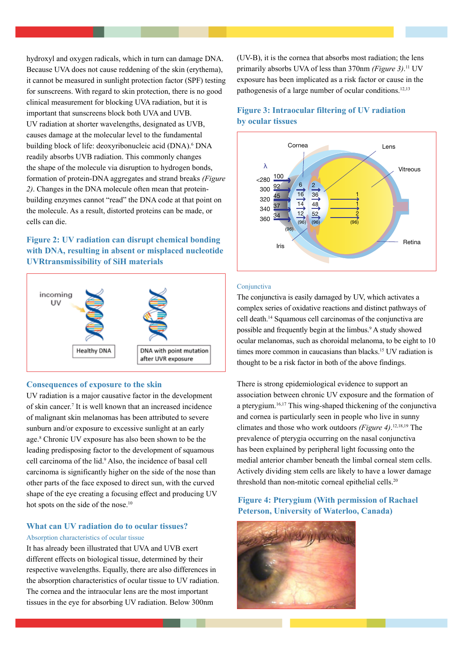hydroxyl and oxygen radicals, which in turn can damage DNA. Because UVA does not cause reddening of the skin (erythema), it cannot be measured in sunlight protection factor (SPF) testing for sunscreens. With regard to skin protection, there is no good clinical measurement for blocking UVA radiation, but it is important that sunscreens block both UVA and UVB. UV radiation at shorter wavelengths, designated as UVB, causes damage at the molecular level to the fundamental building block of life: deoxyribonucleic acid (DNA).<sup>6</sup> DNA readily absorbs UVB radiation. This commonly changes the shape of the molecule via disruption to hydrogen bonds, formation of protein-DNA aggregates and strand breaks *(Figure 2)*. Changes in the DNA molecule often mean that proteinbuilding enzymes cannot "read" the DNA code at that point on the molecule. As a result, distorted proteins can be made, or cells can die.

# **Figure 2: UV radiation can disrupt chemical bonding with DNA, resulting in absent or misplaced nucleotide UVRtransmissibility of SiH materials**



## **Consequences of exposure to the skin**

UV radiation is a major causative factor in the development of skin cancer.7 It is well known that an increased incidence of malignant skin melanomas has been attributed to severe sunburn and/or exposure to excessive sunlight at an early age.8 Chronic UV exposure has also been shown to be the leading predisposing factor to the development of squamous cell carcinoma of the lid.9 Also, the incidence of basal cell carcinoma is significantly higher on the side of the nose than other parts of the face exposed to direct sun, with the curved shape of the eye creating a focusing effect and producing UV hot spots on the side of the nose.<sup>10</sup>

# **What can UV radiation do to ocular tissues?** Absorption characteristics of ocular tissue

It has already been illustrated that UVA and UVB exert different effects on biological tissue, determined by their respective wavelengths. Equally, there are also differences in the absorption characteristics of ocular tissue to UV radiation. The cornea and the intraocular lens are the most important tissues in the eye for absorbing UV radiation. Below 300nm

(UV-B), it is the cornea that absorbs most radiation; the lens primarily absorbs UVA of less than 370nm *(Figure 3)*. 11 UV exposure has been implicated as a risk factor or cause in the pathogenesis of a large number of ocular conditions.<sup>12,13</sup>

# **Figure 3: Intraocular filtering of UV radiation by ocular tissues**



## Conjunctiva

The conjunctiva is easily damaged by UV, which activates a complex series of oxidative reactions and distinct pathways of cell death.14 Squamous cell carcinomas of the conjunctiva are possible and frequently begin at the limbus.<sup>9</sup> A study showed ocular melanomas, such as choroidal melanoma, to be eight to 10 times more common in caucasians than blacks.<sup>15</sup> UV radiation is thought to be a risk factor in both of the above findings.

There is strong epidemiological evidence to support an association between chronic UV exposure and the formation of a pterygium.16,17 This wing-shaped thickening of the conjunctiva and cornea is particularly seen in people who live in sunny climates and those who work outdoors *(Figure 4)*. 12,18,19 The prevalence of pterygia occurring on the nasal conjunctiva has been explained by peripheral light focussing onto the medial anterior chamber beneath the limbal corneal stem cells. Actively dividing stem cells are likely to have a lower damage threshold than non-mitotic corneal epithelial cells.<sup>20</sup>

# **Figure 4: Pterygium (With permission of Rachael Peterson, University of Waterloo, Canada)**

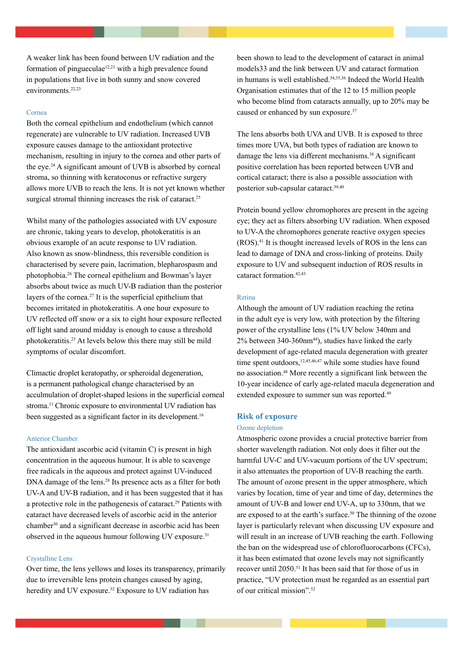A weaker link has been found between UV radiation and the formation of pingueculae<sup>12,21</sup> with a high prevalence found in populations that live in both sunny and snow covered environments.<sup>22,23</sup>

#### Cornea

Both the corneal epithelium and endothelium (which cannot regenerate) are vulnerable to UV radiation. Increased UVB exposure causes damage to the antioxidant protective mechanism, resulting in injury to the cornea and other parts of the eye.24 A significant amount of UVB is absorbed by corneal stroma, so thinning with keratoconus or refractive surgery allows more UVB to reach the lens. It is not yet known whether surgical stromal thinning increases the risk of cataract.<sup>25</sup>

Whilst many of the pathologies associated with UV exposure are chronic, taking years to develop, photokeratitis is an obvious example of an acute response to UV radiation. Also known as snow-blindness, this reversible condition is characterised by severe pain, lacrimation, blepharospasm and photophobia.26 The corneal epithelium and Bowman's layer absorbs about twice as much UV-B radiation than the posterior layers of the cornea.27 It is the superficial epithelium that becomes irritated in photokeratitis. A one hour exposure to UV reflected off snow or a six to eight hour exposure reflected off light sand around midday is enough to cause a threshold photokeratitis.23 At levels below this there may still be mild symptoms of ocular discomfort.

Climactic droplet keratopathy, or spheroidal degeneration, is a permanent pathological change characterised by an acculmulation of droplet-shaped lesions in the superficial corneal stroma.<sup>11</sup> Chronic exposure to environmental UV radiation has been suggested as a significant factor in its development.<sup>16</sup>

# Anterior Chamber

The antioxidant ascorbic acid (vitamin C) is present in high concentration in the aqueous humour. It is able to scavenge free radicals in the aqueous and protect against UV-induced DNA damage of the lens.<sup>28</sup> Its presence acts as a filter for both UV-A and UV-B radiation, and it has been suggested that it has a protective role in the pathogenesis of cataract.29 Patients with cataract have decreased levels of ascorbic acid in the anterior chamber30 and a significant decrease in ascorbic acid has been observed in the aqueous humour following UV exposure.<sup>31</sup>

## Crystalline Lens

Over time, the lens yellows and loses its transparency, primarily due to irreversible lens protein changes caused by aging, heredity and UV exposure.<sup>32</sup> Exposure to UV radiation has

been shown to lead to the development of cataract in animal models33 and the link between UV and cataract formation in humans is well established.34,35,36 Indeed the World Health Organisation estimates that of the 12 to 15 million people who become blind from cataracts annually, up to 20% may be caused or enhanced by sun exposure.<sup>37</sup>

The lens absorbs both UVA and UVB. It is exposed to three times more UVA, but both types of radiation are known to damage the lens via different mechanisms.<sup>38</sup> A significant positive correlation has been reported between UVB and cortical cataract; there is also a possible association with posterior sub-capsular cataract.39,40

Protein bound yellow chromophores are present in the ageing eye; they act as filters absorbing UV radiation. When exposed to UV-A the chromophores generate reactive oxygen species (ROS).41 It is thought increased levels of ROS in the lens can lead to damage of DNA and cross-linking of proteins. Daily exposure to UV and subsequent induction of ROS results in cataract formation<sup>42,43</sup>

#### Retina

Although the amount of UV radiation reaching the retina in the adult eye is very low, with protection by the filtering power of the crystalline lens (1% UV below 340nm and  $2\%$  between 340-360nm<sup>44</sup>), studies have linked the early development of age-related macula degeneration with greater time spent outdoors,  $12,45,46,47$  while some studies have found no association.48 More recently a significant link between the 10-year incidence of early age-related macula degeneration and extended exposure to summer sun was reported.<sup>49</sup>

## **Risk of exposure**

#### Ozone depletion

Atmospheric ozone provides a crucial protective barrier from shorter wavelength radiation. Not only does it filter out the harmful UV-C and UV-vacuum portions of the UV spectrum; it also attenuates the proportion of UV-B reaching the earth. The amount of ozone present in the upper atmosphere, which varies by location, time of year and time of day, determines the amount of UV-B and lower end UV-A, up to 330nm, that we are exposed to at the earth's surface.<sup>50</sup> The thinning of the ozone layer is particularly relevant when discussing UV exposure and will result in an increase of UVB reaching the earth. Following the ban on the widespread use of chlorofluorocarbons (CFCs), it has been estimated that ozone levels may not significantly recover until 2050.51 It has been said that for those of us in practice, "UV protection must be regarded as an essential part of our critical mission".52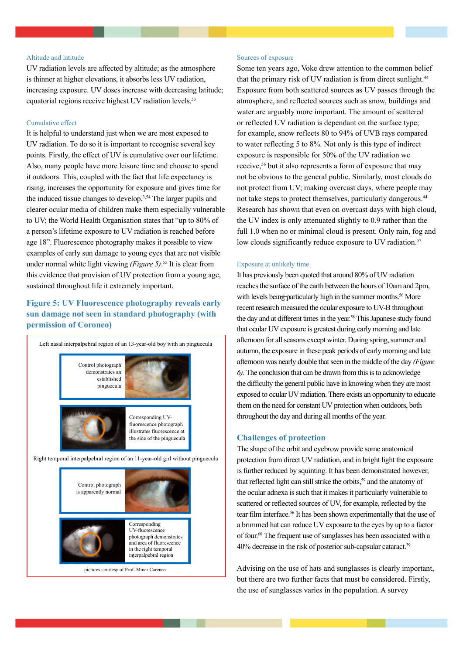## Altitude and latitude

UV radiation levels are affected by altitude; as the atmosphere is thinner at higher elevations, it absorbs less UV radiation, increasing exposure. UV doses increase with decreasing latitude; equatorial regions receive highest UV radiation levels.<sup>53</sup>

## Cumulative effect

It is helpful to understand just when we are most exposed to UV radiation. To do so it is important to recognise several key points. Firstly, the effect of UV is cumulative over our lifetime. Also, many people have more leisure time and choose to spend it outdoors. This, coupled with the fact that life expectancy is rising, increases the opportunity for exposure and gives time for the induced tissue changes to develop.3,54 The larger pupils and clearer ocular media of children make them especially vulnerable to UV; the World Health Organisation states that "up to 80% of a person's lifetime exposure to UV radiation is reached before age 18". Fluorescence photography makes it possible to view examples of early sun damage to young eyes that are not visible under normal white light viewing *(Figure 5)*. 55 It is clear from this evidence that provision of UV protection from a young age, sustained throughout life it extremely important.

# **Figure 5: UV Fluorescence photography reveals early sun damage not seen in standard photography (with permission of Coroneo)**



## Sources of exposure

Some ten years ago, Voke drew attention to the common belief that the primary risk of UV radiation is from direct sunlight.<sup>44</sup> Exposure from both scattered sources as UV passes through the atmosphere, and reflected sources such as snow, buildings and water are arguably more important. The amount of scattered or reflected UV radiation is dependant on the surface type; for example, snow reflects 80 to 94% of UVB rays compared to water reflecting 5 to 8%. Not only is this type of indirect exposure is responsible for 50% of the UV radiation we receive,<sup>56</sup> but it also represents a form of exposure that may not be obvious to the general public. Similarly, most clouds do not protect from UV; making overcast days, where people may not take steps to protect themselves, particularly dangerous.44 Research has shown that even on overcast days with high cloud, the UV index is only attenuated slightly to 0.9 rather than the full 1.0 when no or minimal cloud is present. Only rain, fog and low clouds significantly reduce exposure to UV radiation.<sup>57</sup>

#### Exposure at unlikely time

It has previously been quoted that around 80% of UV radiation reaches the surface of the earth between the hours of 10am and 2pm, with levels being particularly high in the summer months.<sup>56</sup> More recent research measured the ocular exposure to UV-B throughout the day and at different times in the year.<sup>58</sup> This Japanese study found that ocular UV exposure is greatest during early morning and late afternoon for all seasons except winter. During spring, summer and autumn, the exposure in these peak periods of early morning and late afternoon was nearly double that seen in the middle of the day *(Figure 6)*. The conclusion that can be drawn from this is to acknowledge the difficulty the general public have in knowing when they are most exposed to ocular UV radiation. There exists an opportunity to educate them on the need for constant UV protection when outdoors, both throughout the day and during all months of the year.

## **Challenges of protection**

The shape of the orbit and eyebrow provide some anatomical protection from direct UV radiation, and in bright light the exposure is further reduced by squinting. It has been demonstrated however, that reflected light can still strike the orbits,<sup>59</sup> and the anatomy of the ocular adnexa is such that it makes it particularly vulnerable to scattered or reflected sources of UV, for example, reflected by the tear film interface.<sup>56</sup> It has been shown experimentally that the use of a brimmed hat can reduce UV exposure to the eyes by up to a factor of four.60 The frequent use of sunglasses has been associated with a 40% decrease in the risk of posterior sub-capsular cataract.39

Advising on the use of hats and sunglasses is clearly important, but there are two further facts that must be considered. Firstly, the use of sunglasses varies in the population. A survey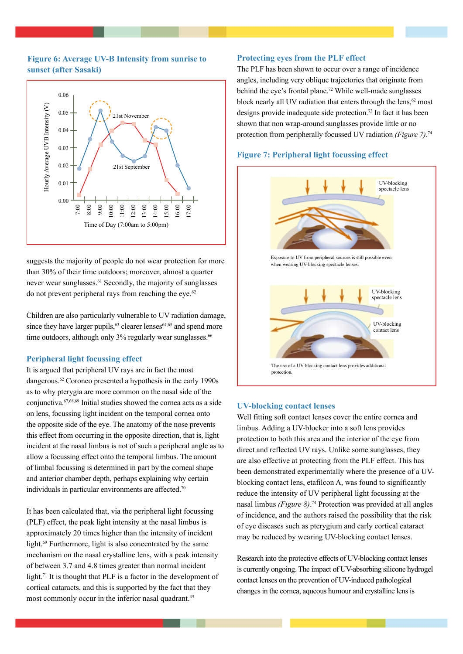# **Figure 6: Average UV-B Intensity from sunrise to sunset (after Sasaki)**



suggests the majority of people do not wear protection for more than 30% of their time outdoors; moreover, almost a quarter never wear sunglasses.61 Secondly, the majority of sunglasses do not prevent peripheral rays from reaching the eye. $62$ 

Children are also particularly vulnerable to UV radiation damage, since they have larger pupils,  $63$  clearer lenses  $64,65$  and spend more time outdoors, although only 3% regularly wear sunglasses.<sup>66</sup>

# **Peripheral light focussing effect**

It is argued that peripheral UV rays are in fact the most dangerous.62 Coroneo presented a hypothesis in the early 1990s as to why pterygia are more common on the nasal side of the conjunctiva.67,68,69 Initial studies showed the cornea acts as a side on lens, focussing light incident on the temporal cornea onto the opposite side of the eye. The anatomy of the nose prevents this effect from occurring in the opposite direction, that is, light incident at the nasal limbus is not of such a peripheral angle as to allow a focussing effect onto the temporal limbus. The amount of limbal focussing is determined in part by the corneal shape and anterior chamber depth, perhaps explaining why certain individuals in particular environments are affected.<sup>70</sup>

It has been calculated that, via the peripheral light focussing (PLF) effect, the peak light intensity at the nasal limbus is approximately 20 times higher than the intensity of incident light.69 Furthermore, light is also concentrated by the same mechanism on the nasal crystalline lens, with a peak intensity of between 3.7 and 4.8 times greater than normal incident light.<sup>71</sup> It is thought that PLF is a factor in the development of cortical cataracts, and this is supported by the fact that they most commonly occur in the inferior nasal quadrant.<sup>45</sup>

## **Protecting eyes from the PLF effect**

The PLF has been shown to occur over a range of incidence angles, including very oblique trajectories that originate from behind the eye's frontal plane.<sup>72</sup> While well-made sunglasses block nearly all UV radiation that enters through the lens, $62 \text{ most}$ designs provide inadequate side protection.73 In fact it has been shown that non wrap-around sunglasses provide little or no protection from peripherally focussed UV radiation *(Figure 7)*. 74

# **Figure 7: Peripheral light focussing effect**



# **UV-blocking contact lenses**

Well fitting soft contact lenses cover the entire cornea and limbus. Adding a UV-blocker into a soft lens provides protection to both this area and the interior of the eye from direct and reflected UV rays. Unlike some sunglasses, they are also effective at protecting from the PLF effect. This has been demonstrated experimentally where the presence of a UVblocking contact lens, etafilcon A, was found to significantly reduce the intensity of UV peripheral light focussing at the nasal limbus *(Figure 8)*. 74 Protection was provided at all angles of incidence, and the authors raised the possibility that the risk of eye diseases such as pterygium and early cortical cataract may be reduced by wearing UV-blocking contact lenses.

Research into the protective effects of UV-blocking contact lenses is currently ongoing. The impact of UV-absorbing silicone hydrogel contact lenses on the prevention of UV-induced pathological changes in the cornea, aqueous humour and crystalline lens is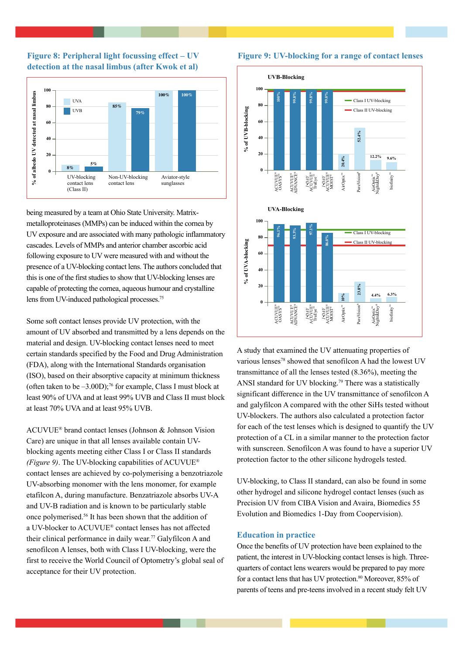



being measured by a team at Ohio State University. Matrixmetalloproteinases (MMPs) can be induced within the cornea by UV exposure and are associated with many pathologic inflammatory cascades. Levels of MMPs and anterior chamber ascorbic acid following exposure to UV were measured with and without the presence of a UV-blocking contact lens. The authors concluded that this is one of the first studies to show that UV-blocking lenses are capable of protecting the cornea, aqueous humour and crystalline lens from UV-induced pathological processes.75

Some soft contact lenses provide UV protection, with the amount of UV absorbed and transmitted by a lens depends on the material and design. UV-blocking contact lenses need to meet certain standards specified by the Food and Drug Administration (FDA), along with the International Standards organisation (ISO), based on their absorptive capacity at minimum thickness (often taken to be  $-3.00D$ );<sup>76</sup> for example, Class I must block at least 90% of UVA and at least 99% UVB and Class II must block at least 70% UVA and at least 95% UVB.

ACUVUE® brand contact lenses (Johnson & Johnson Vision Care) are unique in that all lenses available contain UVblocking agents meeting either Class I or Class II standards *(Figure 9)*. The UV-blocking capabilities of ACUVUE® contact lenses are achieved by co-polymerising a benzotriazole UV-absorbing monomer with the lens monomer, for example etafilcon A, during manufacture. Benzatriazole absorbs UV-A and UV-B radiation and is known to be particularly stable once polymerised.56 It has been shown that the addition of a UV-blocker to ACUVUE® contact lenses has not affected their clinical performance in daily wear.77 Galyfilcon A and senofilcon A lenses, both with Class I UV-blocking, were the first to receive the World Council of Optometry's global seal of acceptance for their UV protection.



A study that examined the UV attenuating properties of various lenses<sup>78</sup> showed that senofilcon A had the lowest UV transmittance of all the lenses tested (8.36%), meeting the ANSI standard for UV blocking.<sup>79</sup> There was a statistically significant difference in the UV transmittance of senofilcon A and galyfilcon A compared with the other SiHs tested without UV-blockers. The authors also calculated a protection factor for each of the test lenses which is designed to quantify the UV protection of a CL in a similar manner to the protection factor with sunscreen. Senofilcon A was found to have a superior UV protection factor to the other silicone hydrogels tested.

UV-blocking, to Class II standard, can also be found in some other hydrogel and silicone hydrogel contact lenses (such as Precision UV from CIBA Vision and Avaira, Biomedics 55 Evolution and Biomedics 1-Day from Coopervision).

## **Education in practice**

Once the benefits of UV protection have been explained to the patient, the interest in UV-blocking contact lenses is high. Threequarters of contact lens wearers would be prepared to pay more for a contact lens that has UV protection.<sup>80</sup> Moreover, 85% of parents of teens and pre-teens involved in a recent study felt UV

#### **Figure 9: UV-blocking for a range of contact lenses**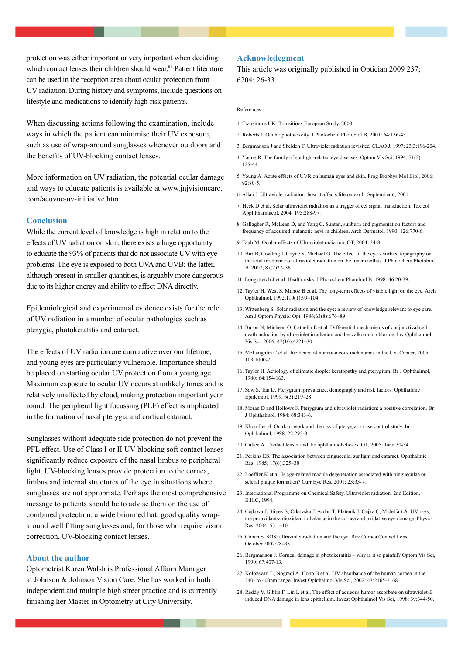protection was either important or very important when deciding which contact lenses their children should wear.<sup>81</sup> Patient literature can be used in the reception area about ocular protection from UV radiation. During history and symptoms, include questions on lifestyle and medications to identify high-risk patients.

When discussing actions following the examination, include ways in which the patient can minimise their UV exposure, such as use of wrap-around sunglasses whenever outdoors and the benefits of UV-blocking contact lenses.

More information on UV radiation, the potential ocular damage and ways to educate patients is available at www.jnjvisioncare. com/acuvue-uv-initiative.htm

## **Conclusion**

While the current level of knowledge is high in relation to the effects of UV radiation on skin, there exists a huge opportunity to educate the 93% of patients that do not associate UV with eye problems. The eye is exposed to both UVA and UVB; the latter, although present in smaller quantities, is arguably more dangerous due to its higher energy and ability to affect DNA directly.

Epidemiological and experimental evidence exists for the role of UV radiation in a number of ocular pathologies such as pterygia, photokeratitis and cataract.

The effects of UV radiation are cumulative over our lifetime, and young eyes are particularly vulnerable. Importance should be placed on starting ocular UV protection from a young age. Maximum exposure to ocular UV occurs at unlikely times and is relatively unaffected by cloud, making protection important year round. The peripheral light focussing (PLF) effect is implicated in the formation of nasal pterygia and cortical cataract.

Sunglasses without adequate side protection do not prevent the PFL effect. Use of Class I or II UV-blocking soft contact lenses significantly reduce exposure of the nasal limbus to peripheral light. UV-blocking lenses provide protection to the cornea, limbus and internal structures of the eye in situations where sunglasses are not appropriate. Perhaps the most comprehensive message to patients should be to advise them on the use of combined protection: a wide brimmed hat; good quality wraparound well fitting sunglasses and, for those who require vision correction, UV-blocking contact lenses.

## **About the author**

Optometrist Karen Walsh is Professional Affairs Manager at Johnson & Johnson Vision Care. She has worked in both independent and multiple high street practice and is currently finishing her Master in Optometry at City University.

# **Acknowledegment**

This article was originally published in Optician 2009 237; 6204: 26-33.

## References

- 1. Transitions UK. Transitions European Study. 2008.
- 2. Roberts J. Ocular phototoxcity. J Photochem Photobiol B, 2001: 64:136-43.
- 3. Bergmanson J and Sheldon T. Ultraviolet radiation revisited. CLAO J, 1997: 23:3:196-204.
- 4. Young R. The family of sunlight-related eye diseases. Optom Vis Sci, 1994: 71(2): 125-44
- 5. Young A. Acute effects of UVR on human eyes and skin. Prog Biophys Mol Biol, 2006:  $92.80 - 5$
- 6. Allan J. Ultraviolet radiation: how it affects life on earth. September 6, 2001.
- 7. Heck D et al. Solar ultraviolet radiation as a trigger of cel signal transduction. Toxicol Appl Pharmacol, 2004: 195:288-97.
- 8. Gallagher R, McLean D, and Yang C. Suntan, sunburn and pigmentation factors and frequency of acquired melanotic nevi in children. Arch Dermatol, 1990: 126:770-6.
- 9. Taub M. Ocular effects of Ultraviolet radiation. OT, 2004: 34-8.
- 10. Birt B, Cowling I, Coyne S, Michael G. The effect of the eye's surface topography on the total irradiance of ultraviolet radiation on the inner canthus. J Photochem Photobiol B. 2007; 87(2)27–36
- 11. Longstretch J et al. Health risks. J Photochem Photobiol B, 1998: 46:20-39.
- 12. Taylor H, West S, Munoz B et al. The long-term effects of visible light on the eye. Arch Ophthalmol. 1992;110(1):99–104
- 13. Wittenberg S. Solar radiation and the eye: a review of knowledge relevant to eye care. Am J Optom Physiol Opt. 1986;63(8):676–89
- 14. Buron N, Micheau O, Cathelin E et al. Differential mechanisms of conjunctival cell death induction by ultraviolet irradiation and benzalkonium chloride. Inv Ophthalmol Vis Sci. 2006; 47(10):4221–30
- 15. McLaughlin C et al. Incidence of noncutaneous melanomas in the US. Cancer, 2005:  $103:1000-7$
- 16. Taylor H. Aetiology of climatic droplet keratopathy and pterygium. Br J Ophthalmol, 1980: 64:154-163.
- 17. Saw S, Tan D. Pterygium: prevalence, demography and risk factors. Ophthalmic Epidemiol. 1999; 6(3):219–28
- 18. Moran D and Hollows F. Pterygium and ultraviolet radiation: a positive correlation. Br J Ophthalmol, 1984: 68:343-6.
- 19. Khoo J et al. Outdoor work and the risk of pterygia: a case control study. Int Ophthalmol, 1998: 22:293-8.
- 20. Cullen A. Contact lenses and the ophthalmohelioses. OT, 2005: June:30-34.
- 21. Perkins ES. The association between pinguecula, sunlight and cataract. Ophthalmic Res. 1985; 17(6):325–30
- 22. Loeffler K et al. Is age-related macula degeneration associated with pingueculae or scleral plaque formation? Curr Eye Res, 2001: 23:33-7.
- 23. International Programme on Chemical Safety. Ultraviolet radiation. 2nd Edition. E.H.C, 1994.
- 24. Cejkova J, Stipek S, Crkovska J, Ardan T, Platenik J, Cejka C, Midelfart A. UV rays, the prooxidant/antioxidant imbalance in the cornea and oxidative eye damage. Physiol Res. 2004; 53:1–10
- 25. Cohen S. SOS: ultraviolet radiation and the eye. Rev Cornea Contact Lens. October 2007:28–33.
- 26. Bergmanson J. Corneal damage in photokeratitis why is it so painful? Optom Vis Sci, 1990: 67:407-13.
- 27. Kolozsvari L, Nogradi A, Hopp B et al. UV absorbance of the human cornea in the 240- to 400nm range. Invest Ophthalmol Vis Sci, 2002: 43:2165-2168.
- 28. Reddy V, Giblin F, Lin L et al. The effect of aqueous humor ascorbate on ultraviolet-B induced DNA damage in lens epithelium. Invest Ophthalmol Vis Sci, 1998: 39:344-50.